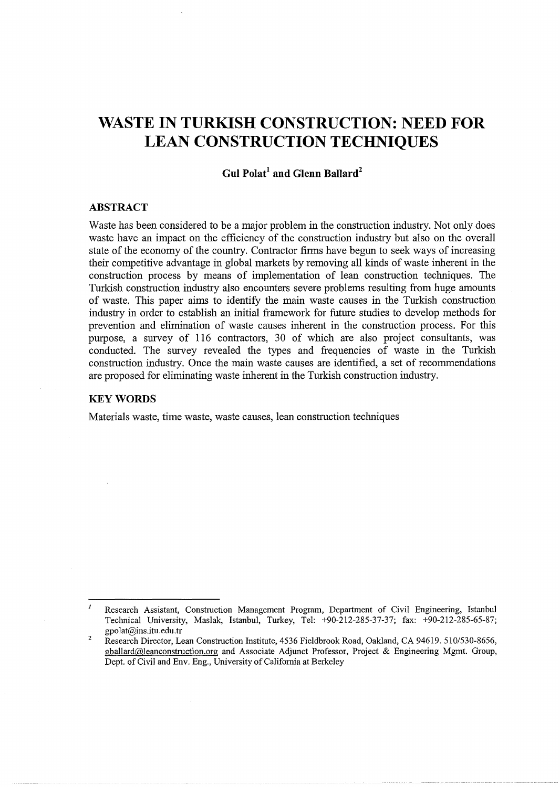# **WASTE IN TURKISH CONSTRUCTION: NEED FOR LEAN CONSTRUCTION TECHNIQUES**

# **Gul Polat<sup>1</sup> and Glenn Ballard<sup>2</sup>**

# **ABSTRACT**

Waste has been considered to be a major problem in the construction industry. Not only does waste have an impact on the efficiency of the construction industry but also on the overall state of the economy of the country. Contractor firms have begun to seek ways of increasing their competitive advantage in global markets by removing all kinds of waste inherent in the construction process by means of implementation of lean construction techniques. The Turkish construction industry also encounters severe problems resulting from huge amounts of waste. This paper aims to identify the main waste causes in the Turkish construction industry in order to establish an initial framework for future studies to develop methods for prevention and elimination of waste causes inherent in the construction process. For this purpose, a survey of 116 contractors, 30 of which are also project consultants, was conducted. The survey revealed the types and frequencies of waste in the Turkish construction industry. Once the main waste causes are identified, a set of recommendations are proposed for eliminating waste inherent in the Turkish construction industry.

# **KEYWORDS**

Materials waste, time waste, waste causes, lean construction techniques

 $\boldsymbol{\eta}$ Research Assistant, Construction Management Program, Department of Civil Engineering, Istanbul Technical University, Maslak, Istanbul, Turkey, Tel: +90-212-285-37-37; fax: +90-212-285-65-87; gpolat@ins.itu.edu.tr

<sup>2</sup>  Research Director, Lean Construction Institute, 4536 Fieldbrook Road, Oakland, CA 94619. 510/530-8656, gballard@leanconstruction.org and Associate Adjunct Professor, Project & Engineering Mgmt. Group, Dept. of Civil and Env. Eng., University of California at Berkeley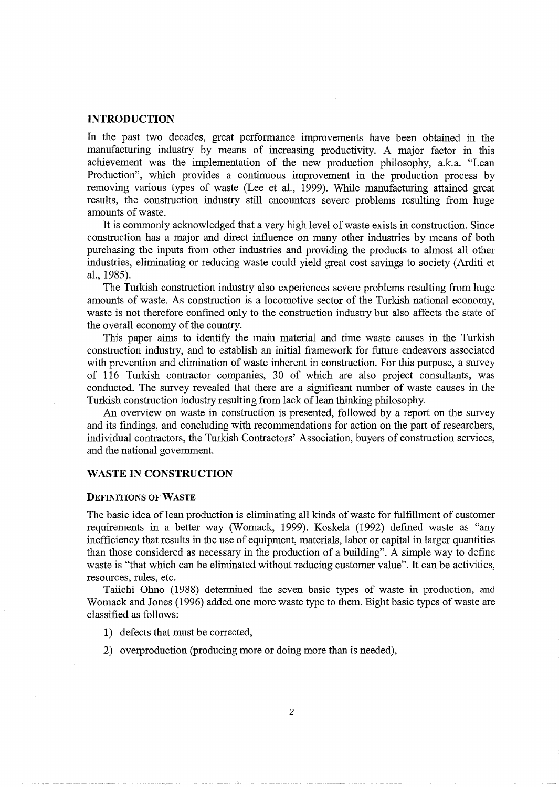## **INTRODUCTION**

In the past two decades, great performance improvements have been obtained in the manufacturing industry by means of increasing productivity. A major factor in this achievement was the implementation of the new production philosophy, a.k.a. "Lean Production", which provides a continuous improvement in the production process by removing various types of waste (Lee et al., 1999). While manufacturing attained great results, the construction industry still encounters severe problems resulting from huge amounts of waste.

It is commonly acknowledged that a very high level of waste exists in construction. Since construction has a major and direct influence on many other industries by means of both purchasing the inputs from other industries and providing the products to almost all other industries, eliminating or reducing waste could yield great cost savings to society (Arditi et al., 1985).

The Turkish construction industry also experiences severe problems resulting from huge amounts of waste. As construction is a locomotive sector of the Turkish national economy, waste is not therefore confined only to the construction industry but also affects the state of the overall economy of the country.

This paper aims to identify the main material and time waste causes in the Turkish construction industry, and to establish an initial framework for future endeavors associated with prevention and elimination of waste inherent in construction. For this purpose, a survey of 116 Turkish contractor companies, 30 of which are also project consultants, was conducted. The survey revealed that there are a significant number of waste causes in the Turkish construction industry resulting from lack of lean thinking philosophy.

An overview on waste in construction is presented, followed by a report on the survey and its findings, and concluding with recommendations for action on the part of researchers, individual contractors, the Turkish Contractors' Association, buyers of construction services, and the national government.

# **WASTE IN CONSTRUCTION**

#### DEFINITIONS OF WASTE

The basic idea of lean production is eliminating all kinds of waste for fulfillment of customer requirements in a better way (Womack, 1999). Koskela (1992) defmed waste as "any inefficiency that results in the use of equipment, materials, labor or capital in larger quantities than those considered as necessary in the production of a building". A simple way to define waste is "that which can be eliminated without reducing customer value". It can be activities, resources, rules, etc.

Taiichi Ohno (1988) determined the seven basic types of waste in production, and Womack and Jones (1996) added one more waste type to them. Eight basic types of waste are classified as follows:

- 1) defects that must be corrected,
- 2) overproduction (producing more or doing more than is needed),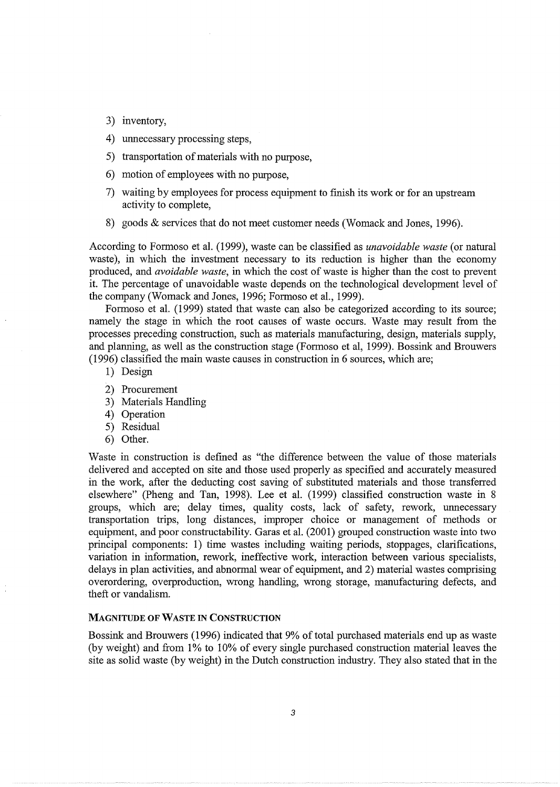- 3) inventory,
- 4) unnecessary processing steps,
- 5) transportation of materials with no purpose,
- 6) motion of employees with no purpose,
- 7) waiting by employees for process equipment to finish its work or for an upstream activity to complete,
- 8) goods & services that do not meet customer needs (Womack and Jones, 1996).

According to Formoso et al. (1999), waste can be classified as *unavoidable waste* (or natural waste), in which the investment necessary to its reduction is higher than the economy produced, and *avoidable waste,* in which the cost of waste is higher than the cost to prevent it. The percentage of unavoidable waste depends on the technological development level of the company (Womack and Jones, 1996; Formoso et al., 1999).

Formoso et al. (1999) stated that waste can also be categorized according to its source; namely the stage in which the root causes of waste occurs. Waste may result from the processes preceding construction, such as materials manufacturing, design, materials supply, and planning, as well as the construction stage (Formoso et al, 1999). Bossink and Brouwers (1996) classified the main waste causes in construction in 6 sources, which are;

- 1) Design
- 2) Procurement
- 3) Materials Handling
- 4) Operation
- 5) Residual
- 6) Other.

Waste in construction is defined as "the difference between the value of those materials delivered and accepted on site and those used properly as specified and accurately measured in the work, after the deducting cost saving of substituted materials and those transferred elsewhere" (Pheng and Tan, 1998). Lee et al. (1999) classified construction waste in 8 groups, which are; delay times, quality costs, lack of safety, rework, unnecessary transportation trips, long distances, improper choice or management of methods or equipment, and poor constructability. Garas et al. (2001) grouped construction waste into two principal components: 1) time wastes including waiting periods, stoppages, clarifications, variation in information, rework, ineffective work, interaction between various specialists, delays in plan activities, and abnormal wear of equipment, and 2) material wastes comprising overordering, overproduction, wrong handling, wrong storage, manufacturing defects, and theft or vandalism.

#### MAGNITUDE OF WASTE IN CONSTRUCTION

Bossink and Brouwers (1996) indicated that 9% of total purchased materials end up as waste (by weight) and from 1% to 10% of every single purchased construction material leaves the site as solid waste (by weight) in the Dutch construction industry. They also stated that in the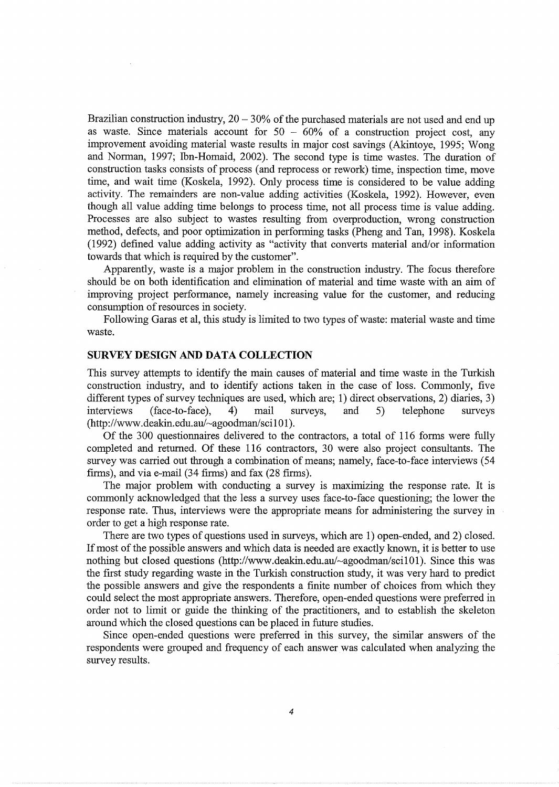Brazilian construction industry,  $20 - 30\%$  of the purchased materials are not used and end up as waste. Since materials account for  $50 - 60\%$  of a construction project cost, any improvement avoiding material waste results in major cost savings (Akintoye, 1995; Wong and Norman, 1997; Ibn-Homaid, 2002). The second type is time wastes. The duration of construction tasks consists of process (and reprocess or rework) time, inspection time, move time, and wait time (Koskela, 1992). Only process time is considered to be value adding activity. The remainders are non-value adding activities (Koskela, 1992). However, even though all value adding time belongs to process time, not all process time is value adding. Processes are also subject to wastes resulting from overproduction, wrong construction method, defects, and poor optimization in performing tasks (Pheng and Tan, 1998). Koskela (1992) defined value adding activity as "activity that converts material and/or information towards that which is required by the customer".

Apparently, waste is a major problem in the construction industry. The focus therefore should be on both identification and elimination of material and time waste with an aim of improving project performance, namely increasing value for the customer, and reducing consumption of resources in society.

Following Garas et al, this study is limited to two types of waste: material waste and time waste.

#### **SURVEY DESIGN AND DATA COLLECTION**

This survey attempts to identify the main causes of material and time waste in the Turkish construction industry, and to identify actions taken in the case of loss. Commonly, five different types of survey techniques are used, which are; 1) direct observations, 2) diaries, 3) interviews (face-to-face), 4) mail surveys, and 5) telephone surveys (http://www.deakin.edu.au/~agoodman/sci101).

Of the 300 questionnaires delivered to the contractors, a total of 116 forms were fully completed and returned. Of these 116 contractors, 30 were also project consultants. The survey was carried out through a combination of means; namely, face-to-face interviews (54 firms), and via e-mail (34 firms) and fax (28 firms).

The major problem with conducting a survey is maximizing the response rate. It is commonly acknowledged that the less a survey uses face-to-face questioning; the lower the response rate. Thus, interviews were the appropriate means for administering the survey in order to get a high response rate.

There are two types of questions used in surveys, which are 1) open-ended, and 2) closed. If most of the possible answers and which data is needed are exactly known, it is better to use nothing but closed questions (http://www.deakin.edu.au/~agoodman/sci101). Since this was the first study regarding waste in the Turkish construction study, it was very hard to predict the possible answers and give the respondents a finite number of choices from which they could select the most appropriate answers. Therefore, open-ended questions were preferred in order not to limit or guide the thinking of the practitioners, and to establish the skeleton around which the closed questions can be placed in future studies.

Since open-ended questions were preferred in this survey, the similar answers of the respondents were grouped and frequency of each answer was calculated when analyzing the survey results.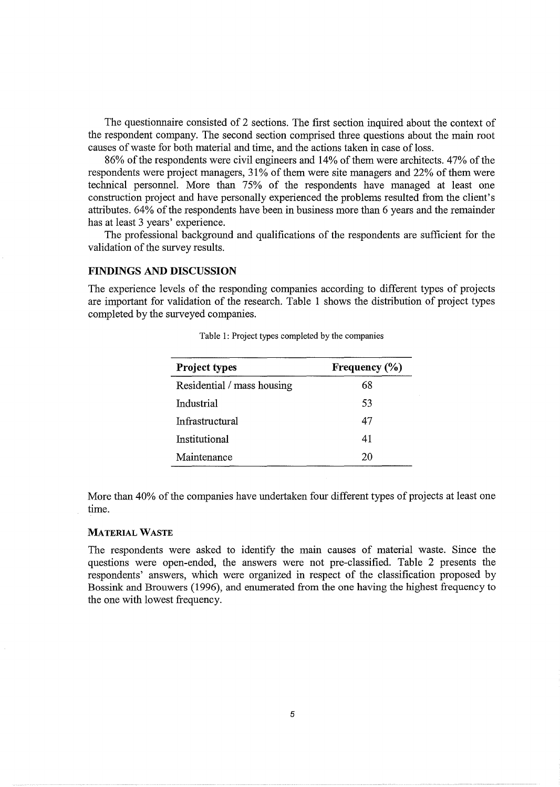The questionnaire consisted of 2 sections. The first section inquired about the context of the respondent company. The second section comprised three questions about the main root causes of waste for both material and time, and the actions taken in case of loss.

86% of the respondents were civil engineers and 14% of them were architects. 47% of the respondents were project managers, 31% of them were site managers and 22% of them were technical personnel. More than 75% of the respondents have managed at least one construction project and have personally experienced the problems resulted from the client's attributes. 64% of the respondents have been in business more than 6 years and the remainder has at least 3 years' experience.

The professional background and qualifications of the respondents are sufficient for the validation of the survey results.

# FINDINGS AND DISCUSSION

The experience levels of the responding companies according to different types of projects are important for validation of the research. Table 1 shows the distribution of project types completed by the surveyed companies.

| Project types              | Frequency $(\%)$ |  |
|----------------------------|------------------|--|
| Residential / mass housing | 68               |  |
| Industrial                 | 53               |  |
| Infrastructural            | 47               |  |
| Institutional              | 41               |  |
| Maintenance                | 20               |  |

|  |  |  |  |  |  | Table 1: Project types completed by the companies |
|--|--|--|--|--|--|---------------------------------------------------|
|--|--|--|--|--|--|---------------------------------------------------|

More than 40% of the companies have undertaken four different types of projects at least one time.

#### MATERIAL WASTE

The respondents were asked to identify the main causes of material waste. Since the questions were open-ended, the answers were not pre-classified. Table 2 presents the respondents' answers, which were organized in respect of the classification proposed by Bossink and Brouwers ( 1996), and enumerated from the one having the highest frequency to the one with lowest frequency.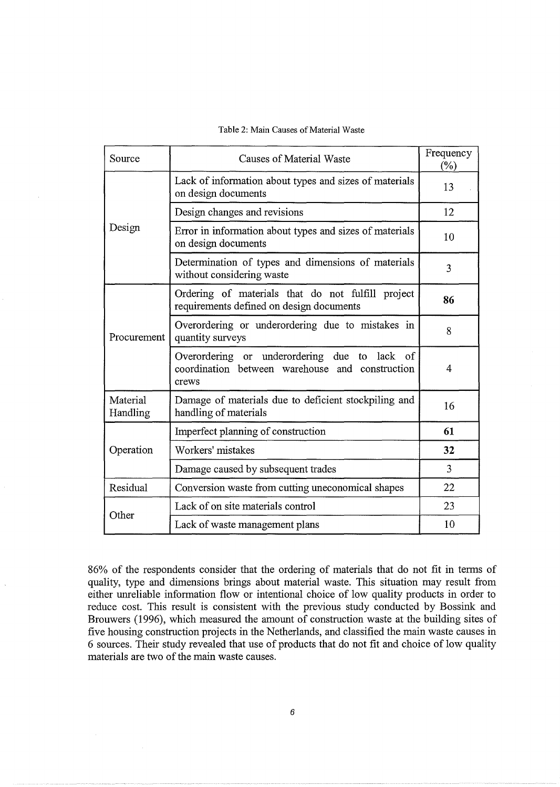Table 2: Main Causes of Material Waste

| Source               | <b>Causes of Material Waste</b>                                                                             | Frequency<br>(%) |
|----------------------|-------------------------------------------------------------------------------------------------------------|------------------|
|                      | Lack of information about types and sizes of materials<br>on design documents                               | 13               |
|                      | Design changes and revisions                                                                                | 12               |
| Design               | Error in information about types and sizes of materials<br>on design documents                              | 10               |
|                      | Determination of types and dimensions of materials<br>without considering waste                             | $\overline{3}$   |
|                      | Ordering of materials that do not fulfill project<br>requirements defined on design documents               | 86               |
| Procurement          | Overordering or underordering due to mistakes in<br>quantity surveys                                        | 8                |
|                      | Overordering or underordering due to lack<br>of<br>coordination between warehouse and construction<br>crews | 4                |
| Material<br>Handling | Damage of materials due to deficient stockpiling and<br>handling of materials                               | 16               |
|                      | Imperfect planning of construction                                                                          | 61               |
| Operation            | Workers' mistakes                                                                                           | 32               |
|                      | Damage caused by subsequent trades                                                                          | 3                |
| Residual             | Conversion waste from cutting uneconomical shapes                                                           |                  |
| Other                | Lack of on site materials control                                                                           | 23               |
|                      | Lack of waste management plans                                                                              | 10               |

86% of the respondents consider that the ordering of materials that do not fit in terms of quality, type and dimensions brings about material waste. This situation may result from either unreliable information flow or intentional choice of low quality products in order to reduce cost. This result is consistent with the previous study conducted by Bossink and Brouwers (1996), which measured the amount of construction waste at the building sites of five housing construction projects in the Netherlands, and classified the main waste causes in 6 sources. Their study revealed that use of products that do not fit and choice of low quality materials are two of the main waste causes.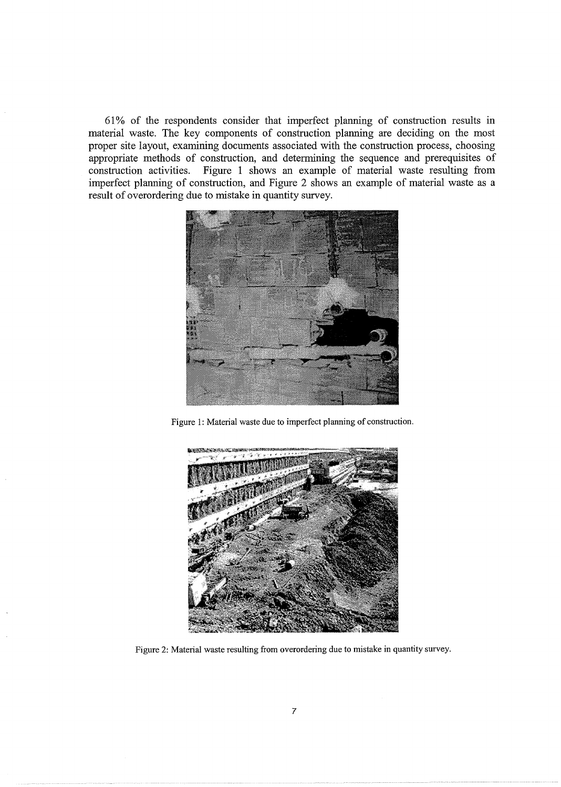61% of the respondents consider that imperfect planning of construction results in material waste. The key components of construction planning are deciding on the most proper site layout, examining documents associated with the construction process, choosing appropriate methods of construction, and determining the sequence and prerequisites of construction activities. Figure 1 shows an example of material waste resulting from Figure 1 shows an example of material waste resulting from imperfect planning of construction, and Figure 2 shows an example of material waste as a result of overordering due to mistake in quantity survey.



Figure 1: Material waste due to imperfect planning of construction.



Figure 2: Material waste resulting from overordering due to mistake in quantity survey.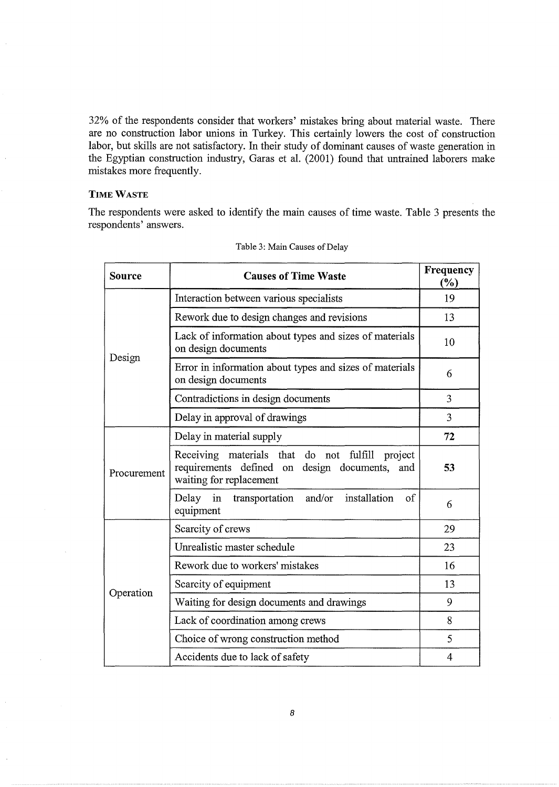32% of the respondents consider that workers' mistakes bring about material waste. There are no construction labor unions in Turkey. This certainly lowers the cost of construction labor, but skills are not satisfactory. In their study of dominant causes of waste generation in the Egyptian construction industry, Garas et al. (2001) found that untrained laborers make mistakes more frequently.

# **TIME** WASTE

J.

The respondents were asked to identify the main causes of time waste. Table 3 presents the respondents' answers.

| Source      | <b>Causes of Time Waste</b>                                                                                                       | Frequency<br>(%) |
|-------------|-----------------------------------------------------------------------------------------------------------------------------------|------------------|
| Design      | Interaction between various specialists                                                                                           | 19               |
|             | Rework due to design changes and revisions                                                                                        | 13               |
|             | Lack of information about types and sizes of materials<br>on design documents                                                     | 10               |
|             | Error in information about types and sizes of materials<br>on design documents                                                    | 6                |
|             | Contradictions in design documents                                                                                                | 3                |
|             | Delay in approval of drawings                                                                                                     | 3                |
| Procurement | Delay in material supply                                                                                                          | 72               |
|             | Receiving materials that do not fulfill<br>project<br>requirements defined on design documents,<br>and<br>waiting for replacement | 53               |
|             | and/or<br>installation<br>Delay<br>in<br>transportation<br>of<br>equipment                                                        | 6                |
| Operation   | Scarcity of crews                                                                                                                 | 29               |
|             | Unrealistic master schedule                                                                                                       | 23               |
|             | Rework due to workers' mistakes                                                                                                   | 16               |
|             | Scarcity of equipment                                                                                                             | 13               |
|             | Waiting for design documents and drawings                                                                                         | 9                |
|             | Lack of coordination among crews                                                                                                  | 8                |
|             | Choice of wrong construction method                                                                                               | 5                |
|             | Accidents due to lack of safety                                                                                                   | 4                |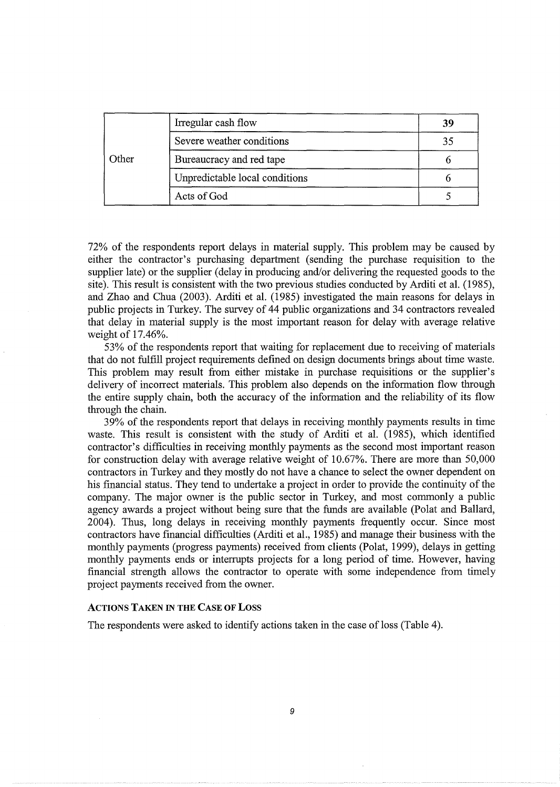|       | Irregular cash flow            | 39 |
|-------|--------------------------------|----|
|       | Severe weather conditions      | 35 |
| Other | Bureaucracy and red tape       |    |
|       | Unpredictable local conditions |    |
|       | Acts of God                    |    |

72% of the respondents report delays in material supply. This problem may be caused by either the contractor's purchasing department (sending the purchase requisition to the supplier late) or the supplier (delay in producing and/or delivering the requested goods to the site). This result is consistent with the two previous studies conducted by Arditi et al. (1985), and Zhao and Chua (2003). Arditi et al. (1985) investigated the main reasons for delays in public projects in Turkey. The survey of 44 public organizations and 34 contractors revealed that delay in material supply is the most important reason for delay with average relative weight of 17.46%.

53% of the respondents report that waiting for replacement due to receiving of materials that do not fulfill project requirements defined on design documents brings about time waste. This problem may result from either mistake in purchase requisitions or the supplier's delivery of incorrect materials. This problem also depends on the information flow through the entire supply chain, both the accuracy of the information and the reliability of its flow through the chain.

39% of the respondents report that delays in receiving monthly payments results in time waste. This result is consistent with the study of Arditi et al. (1985), which identified contractor's difficulties in receiving monthly payments as the second most important reason for construction delay with average relative weight of 10.67%. There are more than 50,000 contractors in Turkey and they mostly do not have a chance to select the owner dependent on his financial status. They tend to undertake a project in order to provide the continuity of the company. The major owner is the public sector in Turkey, and most commonly a public agency awards a project without being sure that the funds are available (Polat and Ballard, 2004). Thus, long delays in receiving monthly payments frequently occur. Since most contractors have financial difficulties (Arditi et al., 1985) and manage their business with the monthly payments (progress payments) received from clients (Polat, 1999), delays in getting monthly payments ends or interrupts projects for a long period of time. However, having financial strength allows the contractor to operate with some independence from timely project payments received from the owner.

# ACTIONS TAKEN IN THE CASE OF LOSS

The respondents were asked to identify actions taken in the case of loss (Table 4).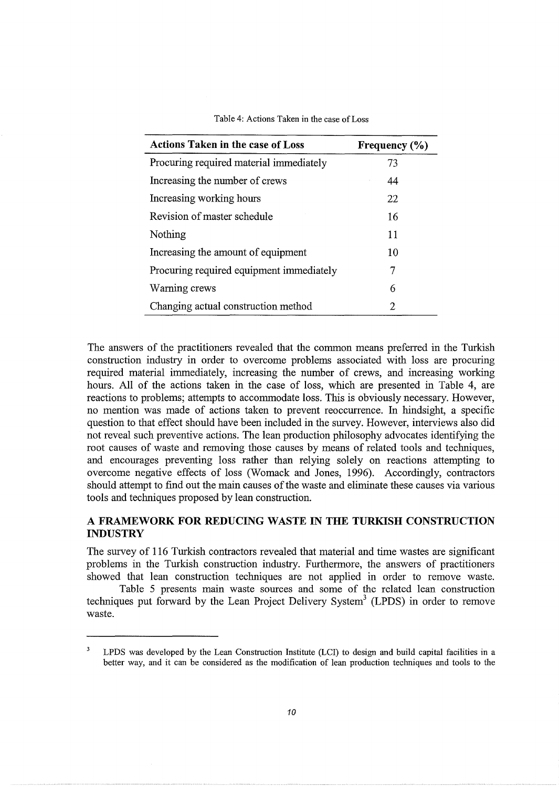| Table 4: Actions Taken in the case of Loss |  |
|--------------------------------------------|--|
|--------------------------------------------|--|

| <b>Actions Taken in the case of Loss</b> | Frequency $(\% )$           |
|------------------------------------------|-----------------------------|
| Procuring required material immediately  | 73                          |
| Increasing the number of crews           | 44                          |
| Increasing working hours                 | 22                          |
| Revision of master schedule              | 16                          |
| Nothing                                  | 11                          |
| Increasing the amount of equipment       | 10                          |
| Procuring required equipment immediately | 7                           |
| Warning crews                            | 6                           |
| Changing actual construction method      | $\mathcal{D}_{\mathcal{L}}$ |

The answers of the practitioners revealed that the common means preferred in the Turkish construction industry in order to overcome problems associated with loss are procuring required material immediately, increasing the number of crews, and increasing working hours. All of the actions taken in the case of loss, which are presented in Table 4, are reactions to problems; attempts to accommodate loss. This is obviously necessary. However, no mention was made of actions taken to prevent reoccurrence. In hindsight, a specific question to that effect should have been included in the survey. However, interviews also did not reveal such preventive actions. The lean production philosophy advocates identifying the root causes of waste and removing those causes by means of related tools and techniques, and encourages preventing loss rather than relying solely on reactions attempting to overcome negative effects of loss (Womack and Jones, 1996). Accordingly, contractors should attempt to find out the main causes of the waste and eliminate these causes via various tools and techniques proposed by lean construction.

# **A FRAMEWORK FOR REDUCING WASTE IN THE TURKISH CONSTRUCTION INDUSTRY**

The survey of 116 Turkish contractors revealed that material and time wastes are significant problems in the Turkish construction industry. Furthermore, the answers of practitioners showed that lean construction techniques are not applied in order to remove waste.

Table 5 presents main waste sources and some of the related lean construction techniques put forward by the Lean Project Delivery System<sup>3</sup> (LPDS) in order to remove waste.

 $\mathbf{3}$ LPDS was developed by the Lean Construction Institute (LCI) to design and build capital facilities in a better way, and it can be considered as the modification of lean production techniques and tools to the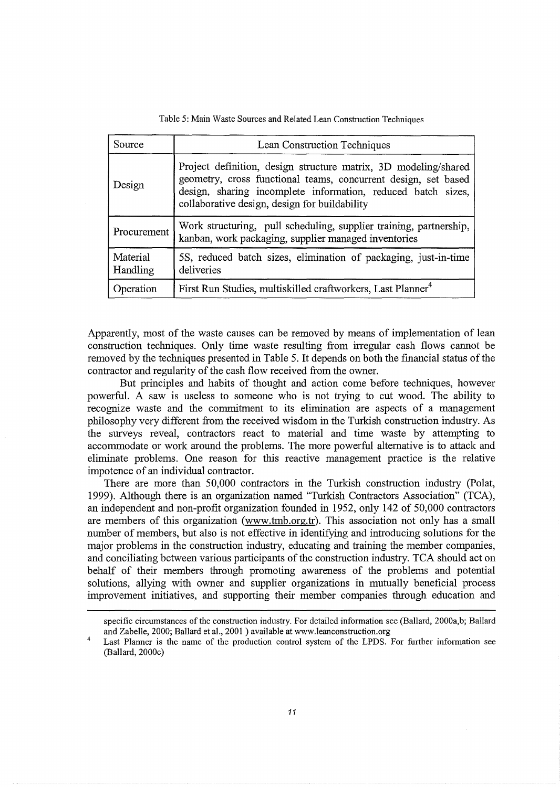| Source               | Lean Construction Techniques                                                                                                                                                                                                                       |  |
|----------------------|----------------------------------------------------------------------------------------------------------------------------------------------------------------------------------------------------------------------------------------------------|--|
| Design               | Project definition, design structure matrix, 3D modeling/shared<br>geometry, cross functional teams, concurrent design, set based<br>design, sharing incomplete information, reduced batch sizes,<br>collaborative design, design for buildability |  |
| Procurement          | Work structuring, pull scheduling, supplier training, partnership,<br>kanban, work packaging, supplier managed inventories                                                                                                                         |  |
| Material<br>Handling | 5S, reduced batch sizes, elimination of packaging, just-in-time<br>deliveries                                                                                                                                                                      |  |
| Operation            | First Run Studies, multiskilled craftworkers, Last Planner <sup>4</sup>                                                                                                                                                                            |  |

Table 5: Main Waste Sources and Related Lean Construction Techniques

Apparently, most of the waste causes can be removed by means of implementation of lean construction techniques. Only time waste resulting from irregular cash flows cannot be removed by the techniques presented in Table 5. It depends on both the financial status of the contractor and regularity of the cash flow received from the owner.

But principles and habits of thought and action come before techniques, however powerful. A saw is useless to someone who is not trying to cut wood. The ability to recognize waste and the commitment to its elimination are aspects of a management philosophy very different from the received wisdom in the Turkish construction industry. As the surveys reveal, contractors react to material and time waste by attempting to accommodate or work around the problems. The more powerful alternative is to attack and eliminate problems. One reason for this reactive management practice is the relative impotence of an individual contractor.

There are more than 50,000 contractors in the Turkish construction industry (Polat, 1999). Although there is an organization named "Turkish Contractors Association" (TCA), an independent and non-profit organization founded in 1952, only 142 of 50,000 contractors are members of this organization (www.trnb.org.tr). This association not only has a small number of members, but also is not effective in identifying and introducing solutions for the major problems in the construction industry, educating and training the member companies, and conciliating between various participants of the construction industry. TCA should act on behalf of their members through promoting awareness of the problems and potential solutions, allying with owner and supplier organizations in mutually beneficial process improvement initiatives, and supporting their member companies through education and

specific circumstances of the construction industry. For detailed information see (Ballard, 2000a,b; Ballard and Zabelle, 2000; Ballard et al., 2001) available at www.leanconstruction.org

<sup>4</sup>  Last Planner is the name of the production control system of the LPDS. For further information see (Ballard, 2000c)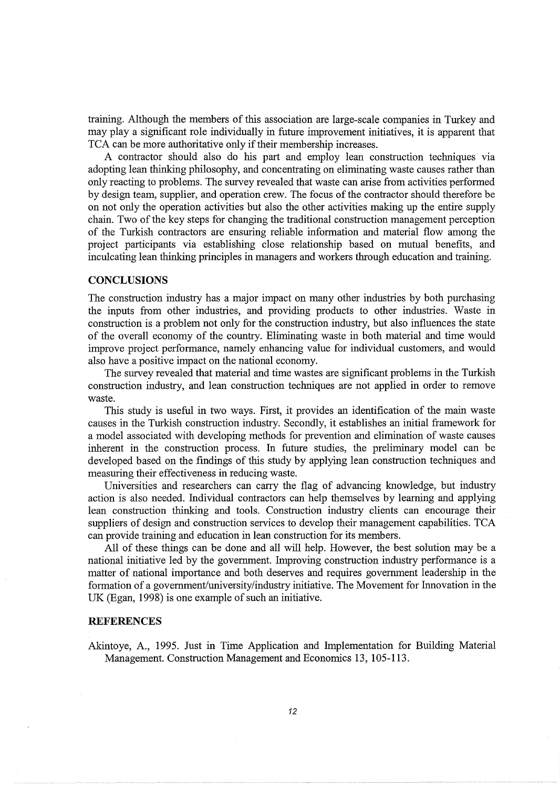training. Although the members of this association are large-scale companies in Turkey and may play a significant role individually in future improvement initiatives, it is apparent that TCA can be more authoritative only if their membership increases.

A contractor should also do his part and employ lean construction techniques via adopting lean thinking philosophy, and concentrating on eliminating waste causes rather than only reacting to problems. The survey revealed that waste can arise from activities performed by design team, supplier, and operation crew. The focus of the contractor should therefore be on not only the operation activities but also the other activities making up the entire supply chain. Two of the key steps for changing the traditional construction management perception of the Turkish contractors are ensuring reliable information and material flow among the project participants via establishing close relationship based on mutual benefits, and inculcating lean thinking principles in managers and workers through education and training.

#### **CONCLUSIONS**

The construction industry has a major impact on many other industries by both purchasing the inputs from other industries, and providing products to other industries. Waste in construction is a problem not only for the construction industry, but also influences the state of the overall economy of the country. Eliminating waste in both material and time would improve project performance, namely enhancing value for individual customers, and would also have a positive impact on the national economy.

The survey revealed that material and time wastes are significant problems in the Turkish construction industry, and lean construction techniques are not applied in order to remove waste.

This study is useful in two ways. First, it provides an identification of the main waste causes in the Turkish construction industry. Secondly, it establishes an initial framework for a model associated with developing methods for prevention and elimination of waste causes inherent in the construction process. In future studies, the preliminary model can be developed based on the findings of this study by applying lean construction techniques and measuring their effectiveness in reducing waste.

Universities and researchers can carry the flag of advancing knowledge, but industry action is also needed. Individual contractors can help themselves by learning and applying lean construction thinking and tools. Construction industry clients can encourage their suppliers of design and construction services to develop their management capabilities. TCA can provide training and education in lean construction for its members.

All of these things can be done and all will help. However, the best solution may be a national initiative led by the government. Improving construction industry performance is a matter of national importance and both deserves and requires government leadership in the formation of a government/university/industry initiative. The Movement for Innovation in the UK (Egan, 1998) is one example of such an initiative.

## **REFERENCES**

Akintoye, A., 1995. Just in Time Application and Implementation for Building Material Management. Construction Management and Economics 13, 105-113.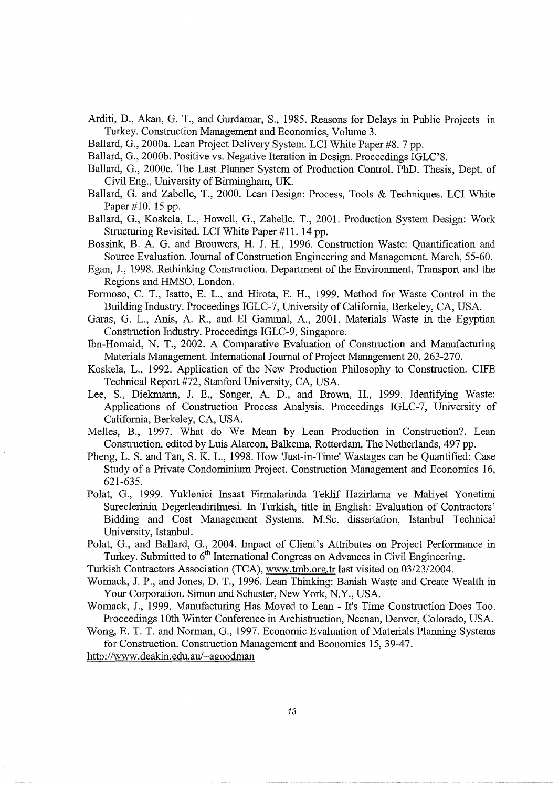- Arditi, D., Akan, G. T., and Gurdamar, S., 1985. Reasons for Delays in Public Projects in Turkey. Construction Management and Economics, Volume 3.
- Ballard, G., 2000a. Lean Project Delivery System. LCI White Paper #8. 7 pp.
- Ballard, G., 2000b. Positive vs. Negative Iteration in Design. Proceedings IGLC'8.
- Ballard, G., 2000c. The Last Planner System of Production Control. PhD. Thesis, Dept. of Civil Eng., University of Birmingham, UK.
- Ballard, G. and Zabelle, T., 2000. Lean Design: Process, Tools & Techniques. LCI White Paper #10. 15 pp.
- Ballard, G., Koskela, L., Howell, G., Zabelle, T., 2001. Production System Design: Work Structuring Revisited. LCI White Paper #11. 14 pp.
- Bossink, B. A. G. and Brouwers, H. J. H., 1996. Construction Waste: Quantification and Source Evaluation. Journal of Construction Engineering and Management. March, 55-60.
- Egan, J., 1998. Rethinking Construction. Department of the Environment, Transport and the Regions and HMSO, London.
- Formoso, C. T., Isatto, E. L., and Hirota, E. H., 1999. Method for Waste Control in the Building Industry. Proceedings IGLC-7, University of California, Berkeley, CA, USA.
- Garas, G. L., Anis, A. R., and El Gammal, A., 2001. Materials Waste in the Egyptian Construction Industry. Proceedings IGLC-9, Singapore.
- Ibn-Homaid, N. T., 2002. A Comparative Evaluation of Construction and Manufacturing Materials Management. International Journal of Project Management 20, 263-270.
- Koskela, L., 1992. Application of the New Production Philosophy to Construction. CIFE Technical Report #72, Stanford University, CA, USA.
- Lee, S., Diekmann, J. E., Songer, A. D., and Brown, H., 1999. Identifying Waste: Applications of Construction Process Analysis. Proceedings IGLC-7, University of California, Berkeley, CA, USA.
- Melles, B., 1997. What do We Mean by Lean Production in Construction?. Lean Construction, edited by Luis Alarcon, Balkema, Rotterdam, The Netherlands, 497 pp.
- Pheng, L. S. and Tan, S. K. L., 1998. How 'Just-in-Time' Wastages can be Quantified: Case Study of a Private Condominium Project. Construction Management and Economics 16, 621-635.
- Polat, G., 1999. Yuklenici Insaat Firmalarinda Teklif Hazirlama ve Maliyet Yonetimi Sureclerinin Degerlendirilmesi. In Turkish, title in English: Evaluation of Contractors' Bidding and Cost Management Systems. M.Sc. dissertation, Istanbul Technical University, Istanbul.

Polat, G., and Ballard, G., 2004. Impact of Client's Attributes on Project Performance in Turkey. Submitted to 6<sup>th</sup> International Congress on Advances in Civil Engineering.

Turkish Contractors Association (TCA), www.tmb.org.tr last visited on 03/23/2004.

- Womack, J.P., and Jones, D. T., 1996. Lean Thinking: Banish Waste and Create Wealth in Your Corporation. Simon and Schuster, New York, N.Y., USA.
- Womack, J., 1999. Manufacturing Has Moved to Lean- It's Time Construction Does Too. Proceedings 1Oth Winter Conference in Archistruction, Neenan, Denver, Colorado, USA.

Wong, E. T. T. and Norman, G., 1997. Economic Evaluation of Materials Planning Systems for Construction. Construction Management and Economics 15, 39-47.

http://www.deakin.edu.au/~agoodman